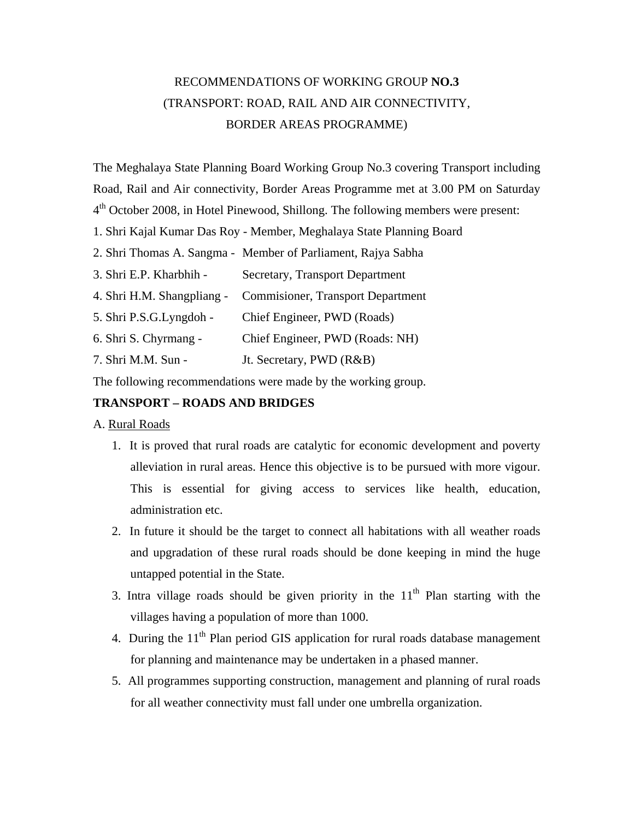## RECOMMENDATIONS OF WORKING GROUP **NO.3**  (TRANSPORT: ROAD, RAIL AND AIR CONNECTIVITY, BORDER AREAS PROGRAMME)

The Meghalaya State Planning Board Working Group No.3 covering Transport including Road, Rail and Air connectivity, Border Areas Programme met at 3.00 PM on Saturday 4<sup>th</sup> October 2008, in Hotel Pinewood, Shillong. The following members were present:

1. Shri Kajal Kumar Das Roy - Member, Meghalaya State Planning Board

2. Shri Thomas A. Sangma - Member of Parliament, Rajya Sabha

3. Shri E.P. Kharbhih - Secretary, Transport Department

4. Shri H.M. Shangpliang - Commisioner, Transport Department

5. Shri P.S.G.Lyngdoh - Chief Engineer, PWD (Roads)

6. Shri S. Chyrmang - Chief Engineer, PWD (Roads: NH)

7. Shri M.M. Sun - Jt. Secretary, PWD (R&B)

The following recommendations were made by the working group.

## **TRANSPORT – ROADS AND BRIDGES**

A. Rural Roads

- 1. It is proved that rural roads are catalytic for economic development and poverty alleviation in rural areas. Hence this objective is to be pursued with more vigour. This is essential for giving access to services like health, education, administration etc.
- 2. In future it should be the target to connect all habitations with all weather roads and upgradation of these rural roads should be done keeping in mind the huge untapped potential in the State.
- 3. Intra village roads should be given priority in the  $11<sup>th</sup>$  Plan starting with the villages having a population of more than 1000.
- 4. During the  $11<sup>th</sup>$  Plan period GIS application for rural roads database management for planning and maintenance may be undertaken in a phased manner.
- 5. All programmes supporting construction, management and planning of rural roads for all weather connectivity must fall under one umbrella organization.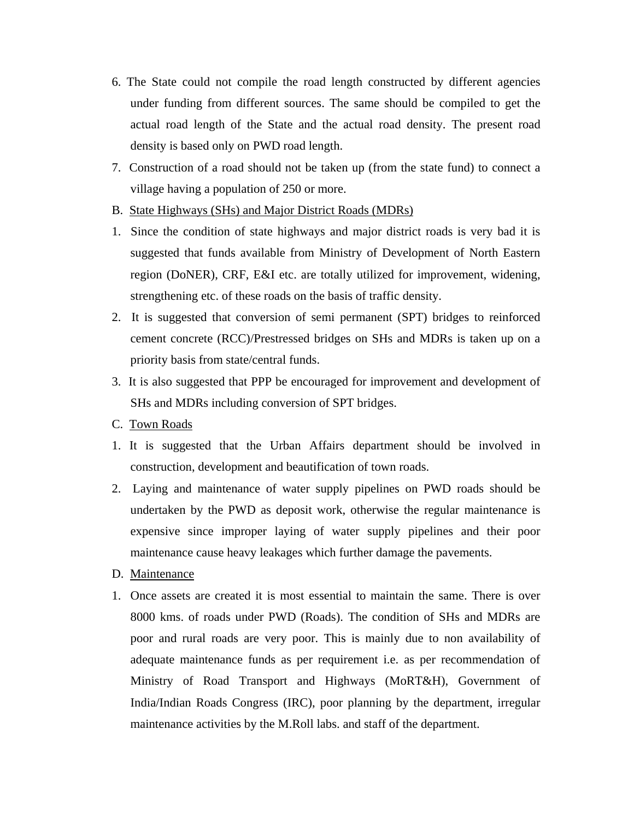- 6. The State could not compile the road length constructed by different agencies under funding from different sources. The same should be compiled to get the actual road length of the State and the actual road density. The present road density is based only on PWD road length.
- 7. Construction of a road should not be taken up (from the state fund) to connect a village having a population of 250 or more.
- B. State Highways (SHs) and Major District Roads (MDRs)
- 1. Since the condition of state highways and major district roads is very bad it is suggested that funds available from Ministry of Development of North Eastern region (DoNER), CRF, E&I etc. are totally utilized for improvement, widening, strengthening etc. of these roads on the basis of traffic density.
- 2. It is suggested that conversion of semi permanent (SPT) bridges to reinforced cement concrete (RCC)/Prestressed bridges on SHs and MDRs is taken up on a priority basis from state/central funds.
- 3. It is also suggested that PPP be encouraged for improvement and development of SHs and MDRs including conversion of SPT bridges.
- C. Town Roads
- 1. It is suggested that the Urban Affairs department should be involved in construction, development and beautification of town roads.
- 2. Laying and maintenance of water supply pipelines on PWD roads should be undertaken by the PWD as deposit work, otherwise the regular maintenance is expensive since improper laying of water supply pipelines and their poor maintenance cause heavy leakages which further damage the pavements.
- D. Maintenance
- 1. Once assets are created it is most essential to maintain the same. There is over 8000 kms. of roads under PWD (Roads). The condition of SHs and MDRs are poor and rural roads are very poor. This is mainly due to non availability of adequate maintenance funds as per requirement i.e. as per recommendation of Ministry of Road Transport and Highways (MoRT&H), Government of India/Indian Roads Congress (IRC), poor planning by the department, irregular maintenance activities by the M.Roll labs. and staff of the department.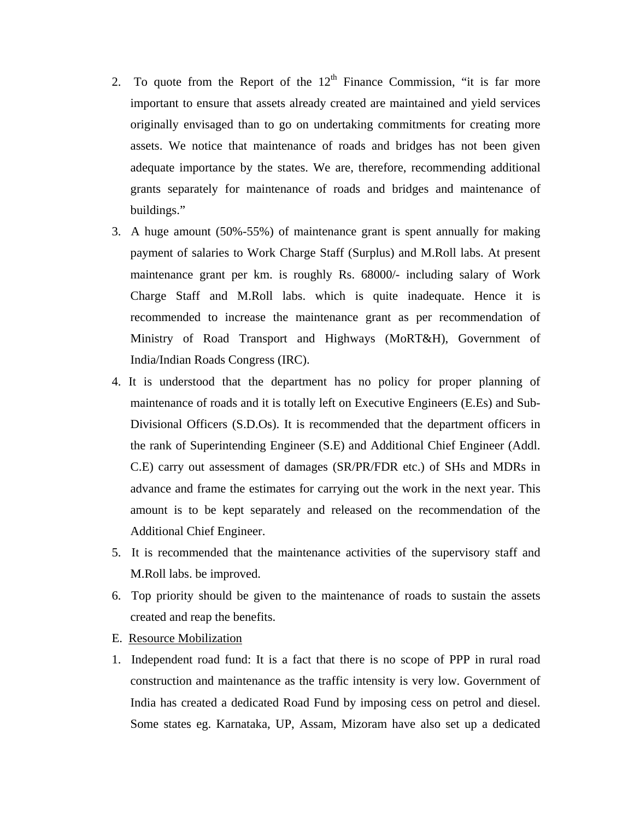- 2. To quote from the Report of the  $12<sup>th</sup>$  Finance Commission, "it is far more important to ensure that assets already created are maintained and yield services originally envisaged than to go on undertaking commitments for creating more assets. We notice that maintenance of roads and bridges has not been given adequate importance by the states. We are, therefore, recommending additional grants separately for maintenance of roads and bridges and maintenance of buildings."
- 3. A huge amount (50%-55%) of maintenance grant is spent annually for making payment of salaries to Work Charge Staff (Surplus) and M.Roll labs. At present maintenance grant per km. is roughly Rs. 68000/- including salary of Work Charge Staff and M.Roll labs. which is quite inadequate. Hence it is recommended to increase the maintenance grant as per recommendation of Ministry of Road Transport and Highways (MoRT&H), Government of India/Indian Roads Congress (IRC).
- 4. It is understood that the department has no policy for proper planning of maintenance of roads and it is totally left on Executive Engineers (E.Es) and Sub-Divisional Officers (S.D.Os). It is recommended that the department officers in the rank of Superintending Engineer (S.E) and Additional Chief Engineer (Addl. C.E) carry out assessment of damages (SR/PR/FDR etc.) of SHs and MDRs in advance and frame the estimates for carrying out the work in the next year. This amount is to be kept separately and released on the recommendation of the Additional Chief Engineer.
- 5. It is recommended that the maintenance activities of the supervisory staff and M.Roll labs. be improved.
- 6. Top priority should be given to the maintenance of roads to sustain the assets created and reap the benefits.
- E. Resource Mobilization
- 1. Independent road fund: It is a fact that there is no scope of PPP in rural road construction and maintenance as the traffic intensity is very low. Government of India has created a dedicated Road Fund by imposing cess on petrol and diesel. Some states eg. Karnataka, UP, Assam, Mizoram have also set up a dedicated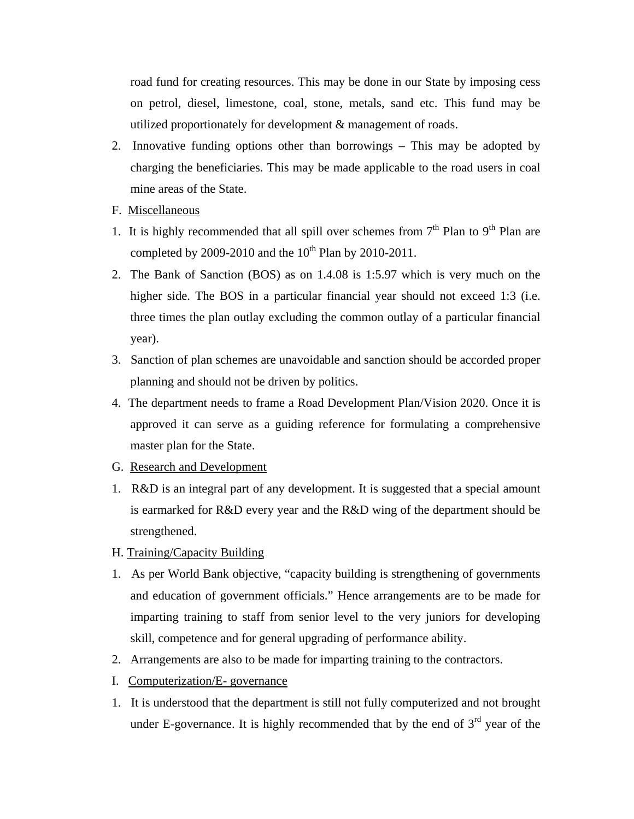road fund for creating resources. This may be done in our State by imposing cess on petrol, diesel, limestone, coal, stone, metals, sand etc. This fund may be utilized proportionately for development & management of roads.

- 2. Innovative funding options other than borrowings This may be adopted by charging the beneficiaries. This may be made applicable to the road users in coal mine areas of the State.
- F. Miscellaneous
- 1. It is highly recommended that all spill over schemes from  $7<sup>th</sup>$  Plan to 9<sup>th</sup> Plan are completed by 2009-2010 and the  $10^{th}$  Plan by 2010-2011.
- 2. The Bank of Sanction (BOS) as on 1.4.08 is 1:5.97 which is very much on the higher side. The BOS in a particular financial year should not exceed 1:3 (i.e. three times the plan outlay excluding the common outlay of a particular financial year).
- 3. Sanction of plan schemes are unavoidable and sanction should be accorded proper planning and should not be driven by politics.
- 4. The department needs to frame a Road Development Plan/Vision 2020. Once it is approved it can serve as a guiding reference for formulating a comprehensive master plan for the State.
- G. Research and Development
- 1. R&D is an integral part of any development. It is suggested that a special amount is earmarked for R&D every year and the R&D wing of the department should be strengthened.
- H. Training/Capacity Building
- 1. As per World Bank objective, "capacity building is strengthening of governments and education of government officials." Hence arrangements are to be made for imparting training to staff from senior level to the very juniors for developing skill, competence and for general upgrading of performance ability.
- 2. Arrangements are also to be made for imparting training to the contractors.
- I. Computerization/E- governance
- 1. It is understood that the department is still not fully computerized and not brought under E-governance. It is highly recommended that by the end of  $3<sup>rd</sup>$  year of the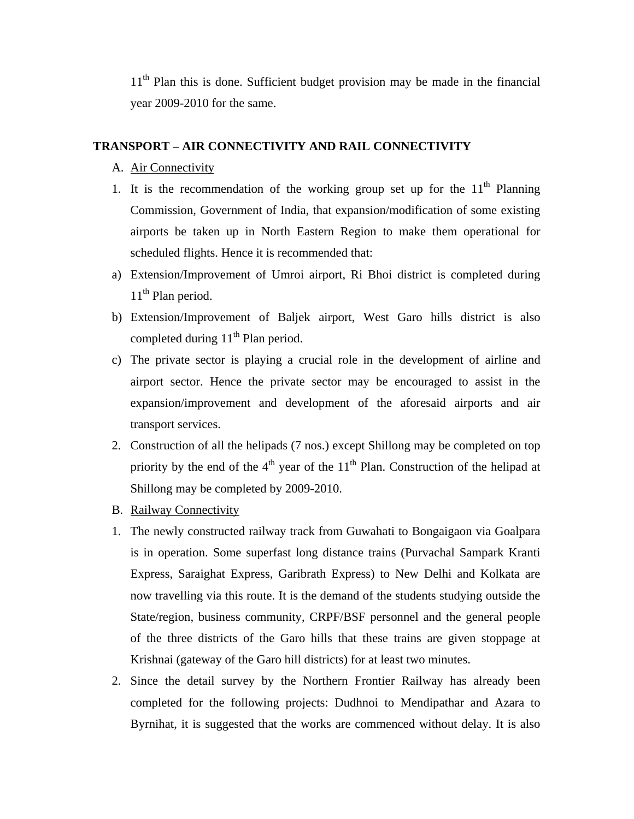$11<sup>th</sup>$  Plan this is done. Sufficient budget provision may be made in the financial year 2009-2010 for the same.

## **TRANSPORT – AIR CONNECTIVITY AND RAIL CONNECTIVITY**

- A. Air Connectivity
- 1. It is the recommendation of the working group set up for the  $11<sup>th</sup>$  Planning Commission, Government of India, that expansion/modification of some existing airports be taken up in North Eastern Region to make them operational for scheduled flights. Hence it is recommended that:
- a) Extension/Improvement of Umroi airport, Ri Bhoi district is completed during 11<sup>th</sup> Plan period.
- b) Extension/Improvement of Baljek airport, West Garo hills district is also completed during  $11<sup>th</sup>$  Plan period.
- c) The private sector is playing a crucial role in the development of airline and airport sector. Hence the private sector may be encouraged to assist in the expansion/improvement and development of the aforesaid airports and air transport services.
- 2. Construction of all the helipads (7 nos.) except Shillong may be completed on top priority by the end of the  $4<sup>th</sup>$  year of the 11<sup>th</sup> Plan. Construction of the helipad at Shillong may be completed by 2009-2010.
- B. Railway Connectivity
- 1. The newly constructed railway track from Guwahati to Bongaigaon via Goalpara is in operation. Some superfast long distance trains (Purvachal Sampark Kranti Express, Saraighat Express, Garibrath Express) to New Delhi and Kolkata are now travelling via this route. It is the demand of the students studying outside the State/region, business community, CRPF/BSF personnel and the general people of the three districts of the Garo hills that these trains are given stoppage at Krishnai (gateway of the Garo hill districts) for at least two minutes.
- 2. Since the detail survey by the Northern Frontier Railway has already been completed for the following projects: Dudhnoi to Mendipathar and Azara to Byrnihat, it is suggested that the works are commenced without delay. It is also